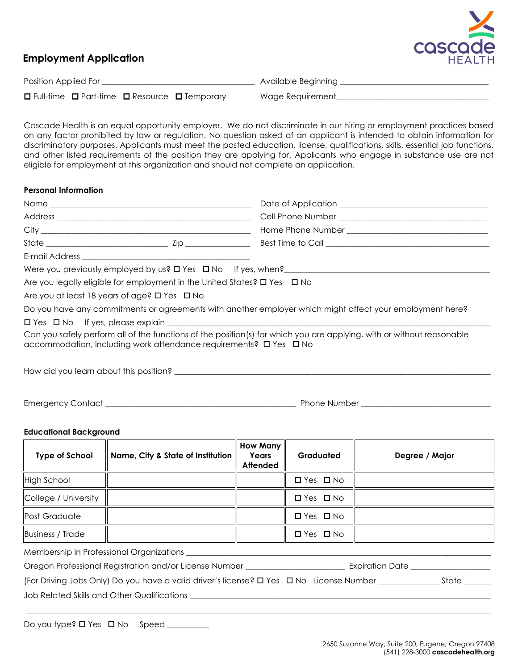

# **Employment Application**

| Position Applied For |  |  |                                                                    | Available Beginning |  |
|----------------------|--|--|--------------------------------------------------------------------|---------------------|--|
|                      |  |  | $\Box$ Full-time $\Box$ Part-time $\Box$ Resource $\Box$ Temporary | Wage Requirement    |  |

Cascade Health is an equal opportunity employer. We do not discriminate in our hiring or employment practices based on any factor prohibited by law or regulation. No question asked of an applicant is intended to obtain information for discriminatory purposes. Applicants must meet the posted education, license, qualifications, skills, essential job functions, and other listed requirements of the position they are applying for. Applicants who engage in substance use are not eligible for employment at this organization and should not complete an application.

# **Personal Information**

| Are you legally eligible for employment in the United States? □ Yes □ No |                                                                                                                       |
|--------------------------------------------------------------------------|-----------------------------------------------------------------------------------------------------------------------|
| Are you at least 18 years of age? $\Box$ Yes $\Box$ No                   |                                                                                                                       |
|                                                                          | Do you have any commitments or agreements with another employer which might affect your employment here?              |
|                                                                          |                                                                                                                       |
| accommodation, including work attendance requirements? □ Yes □ No        | Can you safely perform all of the functions of the position(s) for which you are applying, with or without reasonable |
|                                                                          |                                                                                                                       |

Emergency Contact \_\_\_\_\_\_\_\_\_\_\_\_\_\_\_\_\_\_\_\_\_\_\_\_\_\_\_\_\_\_\_\_\_\_\_\_\_\_\_\_\_\_\_\_\_\_\_\_\_\_ Phone Number \_\_\_\_\_\_\_\_\_\_\_\_\_\_\_\_\_\_\_\_\_\_\_\_\_\_\_\_\_\_\_\_\_\_

## **Educational Background**

| <b>Type of School</b>   | Name, City & State of Institution | <b>How Many</b><br>Years<br><b>Attended</b> | <b>Graduated</b>     | Degree / Major |
|-------------------------|-----------------------------------|---------------------------------------------|----------------------|----------------|
| High School             |                                   |                                             | $\Box$ Yes $\Box$ No |                |
| College / University    |                                   |                                             | $\Box$ Yes $\Box$ No |                |
| Post Graduate           |                                   |                                             | $\Box$ Yes $\Box$ No |                |
| <b>Business / Trade</b> |                                   |                                             | $\Box$ Yes $\Box$ No |                |

\_\_\_\_\_\_\_\_\_\_\_\_\_\_\_\_\_\_\_\_\_\_\_\_\_\_\_\_\_\_\_\_\_\_\_\_\_\_\_\_\_\_\_\_\_\_\_\_\_\_\_\_\_\_\_\_\_\_\_\_\_\_\_\_\_\_\_\_\_\_\_\_\_\_\_\_\_\_\_\_\_\_\_\_\_\_\_\_\_\_\_\_\_\_\_\_\_\_\_\_\_\_\_\_\_\_\_\_\_\_\_\_\_\_\_\_\_\_\_\_\_\_

Membership in Professional Organizations \_\_\_\_\_\_\_\_\_\_\_\_\_\_\_\_\_\_\_\_\_\_\_\_\_\_\_\_\_\_\_\_\_\_\_\_\_\_\_\_\_\_\_\_\_\_\_\_\_\_\_\_\_\_\_\_\_\_\_\_\_\_\_\_\_\_\_\_\_\_\_\_\_\_\_\_\_\_\_\_

Oregon Professional Registration and/or License Number \_\_\_\_\_\_\_\_\_\_\_\_\_\_\_\_\_\_\_\_\_\_\_\_\_\_ Expiration Date \_\_\_\_\_\_\_\_\_\_\_\_

(For Driving Jobs Only) Do you have a valid driver's license?  $\Box$  Yes  $\Box$  No License Number  $\Box$  State  $\Box$ 

Job Related Skills and Other Qualifications \_\_\_\_\_\_\_\_\_\_\_\_\_\_\_\_\_\_\_\_\_\_\_\_\_\_\_\_\_\_\_\_\_\_\_\_\_\_\_\_\_\_\_\_\_\_\_\_\_\_\_\_\_\_\_\_\_\_\_\_\_\_\_\_\_\_\_\_\_\_\_\_\_\_\_\_\_\_\_

| Do you type? $\Box$ Yes $\Box$ No Speed |  |  |
|-----------------------------------------|--|--|
|-----------------------------------------|--|--|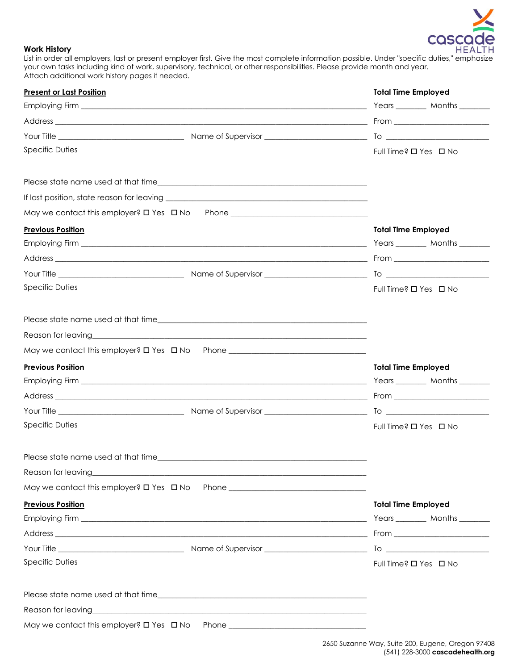

#### **Work History**

List in order all employers, last or present employer first. Give the most complete information possible. Under "specific duties," emphasize your own tasks including kind of work, supervisory, technical, or other responsibilities. Please provide month and year. Attach additional work history pages if needed.

| <b>Present or Last Position</b> |                                                                                                                         | <b>Total Time Employed</b>      |
|---------------------------------|-------------------------------------------------------------------------------------------------------------------------|---------------------------------|
|                                 |                                                                                                                         | Years _________ Months ________ |
|                                 |                                                                                                                         |                                 |
|                                 |                                                                                                                         |                                 |
| <b>Specific Duties</b>          |                                                                                                                         | Full Time? □ Yes □ No           |
|                                 |                                                                                                                         |                                 |
|                                 |                                                                                                                         |                                 |
|                                 | May we contact this employer? $\square$ Yes $\;\square$ No Phone ___________________________                            |                                 |
| <b>Previous Position</b>        |                                                                                                                         | <b>Total Time Employed</b>      |
|                                 |                                                                                                                         |                                 |
|                                 |                                                                                                                         |                                 |
|                                 |                                                                                                                         |                                 |
| <b>Specific Duties</b>          |                                                                                                                         | Full Time? O Yes O No           |
|                                 |                                                                                                                         |                                 |
|                                 |                                                                                                                         |                                 |
|                                 | May we contact this employer? O Yes O No Phone _________________________________                                        |                                 |
| <b>Previous Position</b>        |                                                                                                                         | <b>Total Time Employed</b>      |
|                                 | Employing Firm the contract of the contract of the contract of the contract of the contract of the contract of          | Years _________ Months ________ |
|                                 |                                                                                                                         |                                 |
|                                 |                                                                                                                         | $\overline{I}$ o $\overline{I}$ |
| <b>Specific Duties</b>          |                                                                                                                         | Full Time? □ Yes □ No           |
|                                 |                                                                                                                         |                                 |
| Reason for leaving              |                                                                                                                         |                                 |
|                                 | May we contact this employer? $\Box$ Yes $\Box$ No Phone ____________________________                                   |                                 |
| <b>Previous Position</b>        |                                                                                                                         | <b>Total Time Employed</b>      |
|                                 |                                                                                                                         | Years ________ Months _______   |
|                                 |                                                                                                                         |                                 |
|                                 |                                                                                                                         |                                 |
| <b>Specific Duties</b>          |                                                                                                                         | Full Time? □ Yes □ No           |
|                                 |                                                                                                                         |                                 |
|                                 | Reason for leaving <b>Example 2018</b> and 2019 and 2019 and 2019 and 2019 and 2019 and 2019 and 2019 and 2019 and 2019 |                                 |
|                                 | May we contact this employer? $\Box$ Yes $\Box$ No Phone ____________________________                                   |                                 |